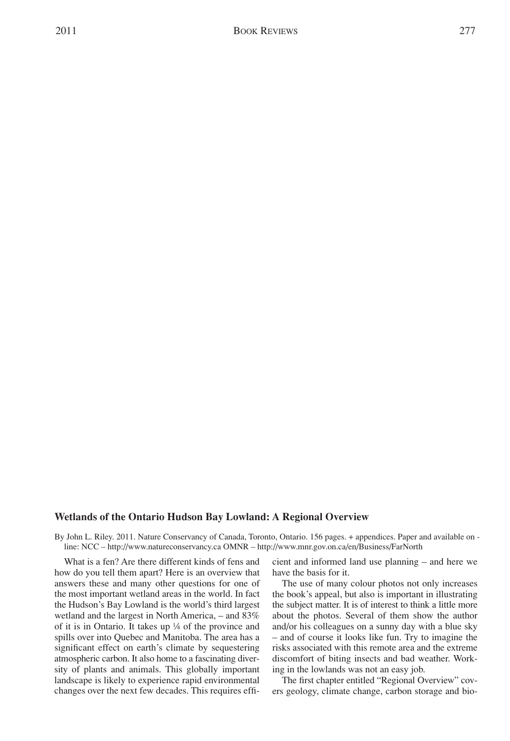## **Wetlands of the Ontario Hudson Bay Lowland: A Regional Overview**

By John L. Riley. 2011. Nature Conservancy of Canada, Toronto, Ontario. 156 pages. + appendices. Paper and available on line: NCC – http://www.natureconservancy.ca OMNR – http://www.mnr.gov.on.ca/en/Business/FarNorth

What is a fen? Are there different kinds of fens and how do you tell them apart? Here is an overview that answers these and many other questions for one of the most important wetland areas in the world. In fact the Hudson's Bay Lowland is the world's third largest wetland and the largest in North America, – and 83% of it is in Ontario. It takes up  $\frac{1}{4}$  of the province and spills over into Quebec and Manitoba. The area has a significant effect on earth's climate by sequestering atmospheric carbon. It also home to a fascinating diversity of plants and animals. This globally important landscape is likely to experience rapid environmental changes over the next few decades. This requires efficient and informed land use planning – and here we have the basis for it.

The use of many colour photos not only increases the book's appeal, but also is important in illustrating the subject matter. It is of interest to think a little more about the photos. Several of them show the author and/or his colleagues on a sunny day with a blue sky – and of course it looks like fun. Try to imagine the risks associated with this remote area and the extreme discomfort of biting insects and bad weather. Working in the lowlands was not an easy job.

The first chapter entitled "Regional Overview" covers geology, climate change, carbon storage and bio-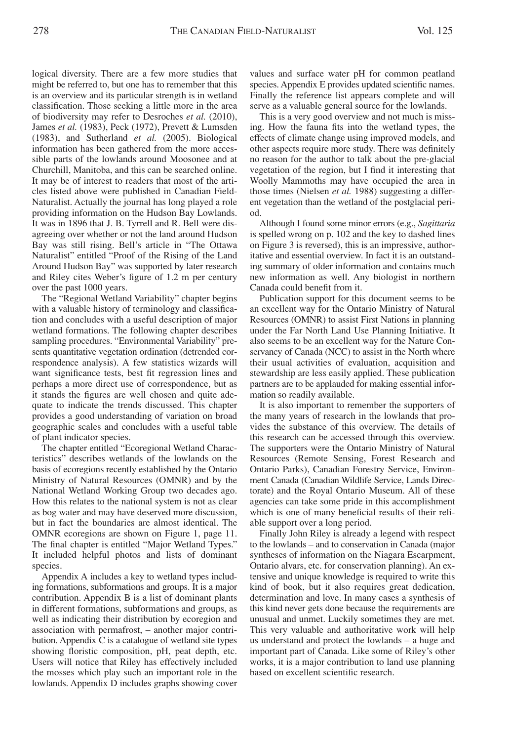logical diversity. There are a few more studies that might be referred to, but one has to remember that this is an overview and its particular strength is in wetland classification. Those seeking a little more in the area of biodiversity may refer to Desroches *et al.* (2010), James *et al.* (1983), Peck (1972), Prevett & Lumsden (1983), and Sutherland *et al.* (2005). Biological information has been gathered from the more accessible parts of the lowlands around Moosonee and at Churchill, Manitoba, and this can be searched online. It may be of interest to readers that most of the articles listed above were published in Canadian Field-Naturalist. Actually the journal has long played a role providing information on the Hudson Bay Lowlands. It was in 1896 that J. B. Tyrrell and R. Bell were disagreeing over whether or not the land around Hudson Bay was still rising. Bell's article in "The Ottawa Naturalist" entitled "Proof of the Rising of the Land Around Hudson Bay" was supported by later research and Riley cites Weber's figure of 1.2 m per century over the past 1000 years.

The "Regional Wetland Variability" chapter begins with a valuable history of terminology and classification and concludes with a useful description of major wetland formations. The following chapter describes sampling procedures. "Environmental Variability" presents quantitative vegetation ordination (detrended correspondence analysis). A few statistics wizards will want significance tests, best fit regression lines and perhaps a more direct use of correspondence, but as it stands the figures are well chosen and quite adequate to indicate the trends discussed. This chapter provides a good understanding of variation on broad geographic scales and concludes with a useful table of plant indicator species.

The chapter entitled "Ecoregional Wetland Characteristics" describes wetlands of the lowlands on the basis of ecoregions recently established by the Ontario Ministry of Natural Resources (OMNR) and by the National Wetland Working Group two decades ago. How this relates to the national system is not as clear as bog water and may have deserved more discussion, but in fact the boundaries are almost identical. The OMNR ecoregions are shown on Figure 1, page 11. The final chapter is entitled "Major Wetland Types." It included helpful photos and lists of dominant species.

Appendix A includes a key to wetland types including formations, subformations and groups. It is a major contribution. Appendix B is a list of dominant plants in different formations, subformations and groups, as well as indicating their distribution by ecoregion and association with permafrost, – another major contribution. Appendix C is a catalogue of wetland site types showing floristic composition, pH, peat depth, etc. Users will notice that Riley has effectively included the mosses which play such an important role in the lowlands. Appendix D includes graphs showing cover values and surface water pH for common peatland species. Appendix E provides updated scientific names. Finally the reference list appears complete and will serve as a valuable general source for the lowlands.

This is a very good overview and not much is missing. How the fauna fits into the wetland types, the effects of climate change using improved models, and other aspects require more study. There was definitely no reason for the author to talk about the pre-glacial vegetation of the region, but I find it interesting that Woolly Mammoths may have occupied the area in those times (Nielsen *et al.* 1988) suggesting a different vegetation than the wetland of the postglacial period.

Although I found some minor errors (e.g., *Sagittaria* is spelled wrong on p. 102 and the key to dashed lines on Figure 3 is reversed), this is an impressive, authoritative and essential overview. In fact it is an outstanding summary of older information and contains much new information as well. Any biologist in northern Canada could benefit from it.

Publication support for this document seems to be an excellent way for the Ontario Ministry of Natural Resources (OMNR) to assist First Nations in planning under the Far North Land Use Planning Initiative. It also seems to be an excellent way for the Nature Conservancy of Canada (NCC) to assist in the North where their usual activities of evaluation, acquisition and stewardship are less easily applied. These publication partners are to be applauded for making essential information so readily available.

It is also important to remember the supporters of the many years of research in the lowlands that provides the substance of this overview. The details of this research can be accessed through this overview. The supporters were the Ontario Ministry of Natural Resources (Remote Sensing, Forest Research and Ontario Parks), Canadian Forestry Service, Environment Canada (Canadian Wildlife Service, Lands Directorate) and the Royal Ontario Museum. All of these agencies can take some pride in this accomplishment which is one of many beneficial results of their reliable support over a long period.

Finally John Riley is already a legend with respect to the lowlands – and to conservation in Canada (major syntheses of information on the Niagara Escarpment, Ontario alvars, etc. for conservation planning). An extensive and unique knowledge is required to write this kind of book, but it also requires great dedication, determination and love. In many cases a synthesis of this kind never gets done because the requirements are unusual and unmet. Luckily sometimes they are met. This very valuable and authoritative work will help us understand and protect the lowlands – a huge and important part of Canada. Like some of Riley's other works, it is a major contribution to land use planning based on excellent scientific research.